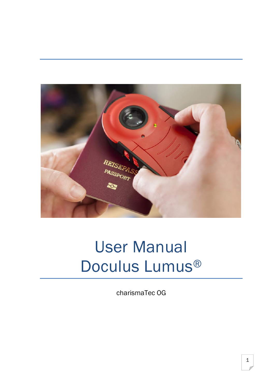

# User Manual Doculus Lumus®

charismaTec OG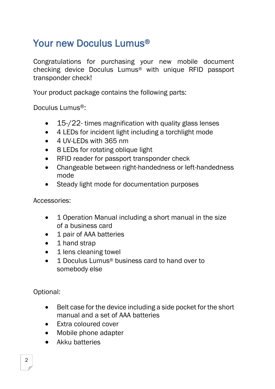## Your new Doculus Lumus®

Congratulations for purchasing your new mobile document checking device Doculus Lumus® with unique RFID passport transponder check!

Your product package contains the following parts:

Doculus Lumus®:

- 15-/22- times magnification with quality glass lenses
- 4 LEDs for incident light including a torchlight mode
- 4 UV-LEDs with 365 nm
- 8 LEDs for rotating oblique light
- RFID reader for passport transponder check
- Changeable between right-handedness or left-handedness mode
- Steady light mode for documentation purposes

Accessories:

- 1 Operation Manual including a short manual in the size of a business card
- 1 pair of AAA batteries
- 1 hand strap
- 1 lens cleaning towel
- 1 Doculus Lumus<sup>®</sup> business card to hand over to somebody else

Optional:

- Belt case for the device including a side pocket for the short manual and a set of AAA batteries
- Extra coloured cover
- Mobile phone adapter
- Akku batteries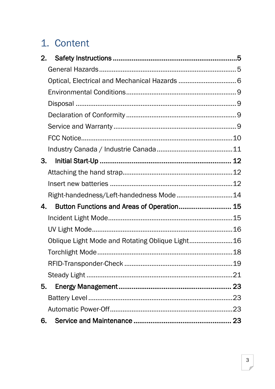## 1. Content

| 2. |                                                  |  |
|----|--------------------------------------------------|--|
|    |                                                  |  |
|    |                                                  |  |
|    |                                                  |  |
|    |                                                  |  |
|    |                                                  |  |
|    |                                                  |  |
|    |                                                  |  |
|    |                                                  |  |
|    | 3.                                               |  |
|    |                                                  |  |
|    |                                                  |  |
|    | Right-handedness/Left-handedness Mode 14         |  |
| 4. | Button Functions and Areas of Operation 15       |  |
|    |                                                  |  |
|    |                                                  |  |
|    | Oblique Light Mode and Rotating Oblique Light 16 |  |
|    |                                                  |  |
|    |                                                  |  |
|    |                                                  |  |
| 5. |                                                  |  |
|    |                                                  |  |
|    |                                                  |  |
| 6. |                                                  |  |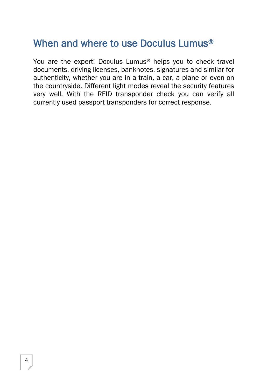## When and where to use Doculus Lumus®

You are the expert! Doculus Lumus® helps you to check travel documents, driving licenses, banknotes, signatures and similar for authenticity, whether you are in a train, a car, a plane or even on the countryside. Different light modes reveal the security features very well. With the RFID transponder check you can verify all currently used passport transponders for correct response.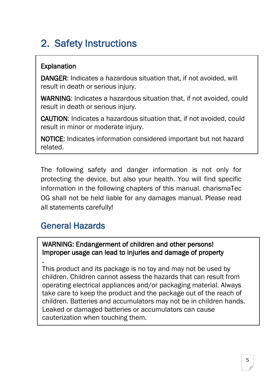## <span id="page-4-0"></span>2. Safety Instructions

#### Explanation

DANGER: Indicates a hazardous situation that, if not avoided, will result in death or serious injury.

WARNING: Indicates a hazardous situation that, if not avoided, could result in death or serious injury.

CAUTION: Indicates a hazardous situation that, if not avoided, could result in minor or moderate injury.

NOTICE: Indicates information considered important but not hazard related.

The following safety and danger information is not only for protecting the device, but also your health. You will find specific information in the following chapters of this manual. charismaTec OG shall not be held liable for any damages manual. Please read all statements carefully!

#### <span id="page-4-1"></span>General Hazards

٦

#### WARNING: Endangerment of children and other persons! Improper usage can lead to injuries and damage of property

. This product and its package is no toy and may not be used by children. Children cannot assess the hazards that can result from operating electrical appliances and/or packaging material. Always take care to keep the product and the package out of the reach of children. Batteries and accumulators may not be in children hands. Leaked or damaged batteries or accumulators can cause cauterization when touching them.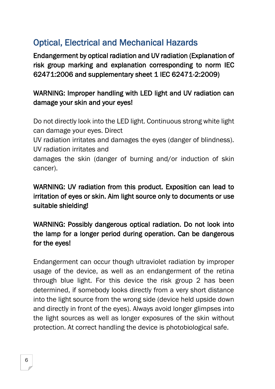## <span id="page-5-0"></span>Optical, Electrical and Mechanical Hazards

Endangerment by optical radiation and UV radiation (Explanation of risk group marking and explanation corresponding to norm IEC 62471:2006 and supplementary sheet 1 IEC 62471-2:2009)

#### WARNING: Improper handling with LED light and UV radiation can damage your skin and your eyes!

Do not directly look into the LED light. Continuous strong white light can damage your eyes. Direct

UV radiation irritates and damages the eyes (danger of blindness). UV radiation irritates and

damages the skin (danger of burning and/or induction of skin cancer).

#### WARNING: UV radiation from this product. Exposition can lead to irritation of eyes or skin. Aim light source only to documents or use suitable shielding!

#### WARNING: Possibly dangerous optical radiation. Do not look into the lamp for a longer period during operation. Can be dangerous for the eyes!

Endangerment can occur though ultraviolet radiation by improper usage of the device, as well as an endangerment of the retina through blue light. For this device the risk group 2 has been determined, if somebody looks directly from a very short distance into the light source from the wrong side (device held upside down and directly in front of the eyes). Always avoid longer glimpses into the light sources as well as longer exposures of the skin without protection. At correct handling the device is photobiological safe.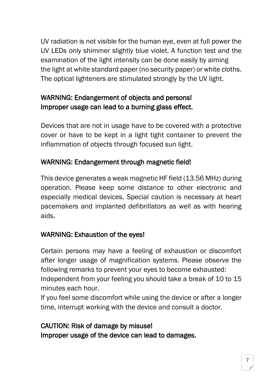UV radiation is not visible for the human eye, even at full power the UV LEDs only shimmer slightly blue violet. A function test and the examination of the light intensity can be done easily by aiming the light at white standard paper (no security paper) or white cloths. The optical lighteners are stimulated strongly by the UV light.

#### WARNING: Endangerment of objects and persons! Improper usage can lead to a burning glass effect.

Devices that are not in usage have to be covered with a protective cover or have to be kept in a light tight container to prevent the inflammation of objects through focused sun light.

#### WARNING: Endangerment through magnetic field!

This device generates a weak magnetic HF field (13.56 MHz) during operation. Please keep some distance to other electronic and especially medical devices. Special caution is necessary at heart pacemakers and implanted defibrillators as well as with hearing aids.

#### WARNING: Exhaustion of the eyes!

Certain persons may have a feeling of exhaustion or discomfort after longer usage of magnification systems. Please observe the following remarks to prevent your eyes to become exhausted: Independent from your feeling you should take a break of 10 to 15 minutes each hour.

If you feel some discomfort while using the device or after a longer time, interrupt working with the device and consult a doctor.

#### CAUTION: Risk of damage by misuse! Improper usage of the device can lead to damages.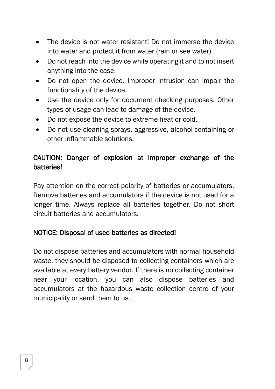- The device is not water resistant! Do not immerse the device into water and protect it from water (rain or see water).
- Do not reach into the device while operating it and to not insert anything into the case.
- Do not open the device. Improper intrusion can impair the functionality of the device.
- Use the device only for document checking purposes. Other types of usage can lead to damage of the device.
- Do not expose the device to extreme heat or cold.
- Do not use cleaning sprays, aggressive, alcohol-containing or other inflammable solutions.

#### CAUTION: Danger of explosion at improper exchange of the batteries!

Pay attention on the correct polarity of batteries or accumulators. Remove batteries and accumulators if the device is not used for a longer time. Always replace all batteries together. Do not short circuit batteries and accumulators.

#### NOTICE: Disposal of used batteries as directed!

Do not dispose batteries and accumulators with normal household waste, they should be disposed to collecting containers which are available at every battery vendor. If there is no collecting container near your location, you can also dispose batteries and accumulators at the hazardous waste collection centre of your municipality or send them to us.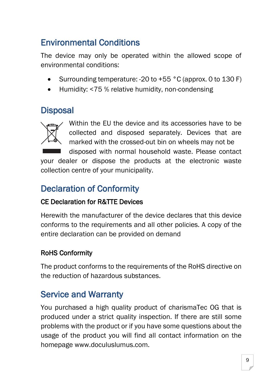## <span id="page-8-0"></span>Environmental Conditions

The device may only be operated within the allowed scope of environmental conditions:

- Surrounding temperature: -20 to +55 °C (approx. 0 to 130 F)
- Humidity: <75 % relative humidity, non-condensing

#### <span id="page-8-1"></span>**Disposal**



Within the EU the device and its accessories have to be collected and disposed separately. Devices that are marked with the crossed-out bin on wheels may not be

disposed with normal household waste. Please contact your dealer or dispose the products at the electronic waste collection centre of your municipality.

## <span id="page-8-2"></span>Declaration of Conformity

#### CE Declaration for R&TTE Devices

Herewith the manufacturer of the device declares that this device conforms to the requirements and all other policies. A copy of the entire declaration can be provided on demand

#### RoHS Conformity

The product conforms to the requirements of the RoHS directive on the reduction of hazardous substances.

### <span id="page-8-3"></span>Service and Warranty

You purchased a high quality product of charismaTec OG that is produced under a strict quality inspection. If there are still some problems with the product or if you have some questions about the usage of the product you will find all contact information on the homepage www.doculuslumus.com.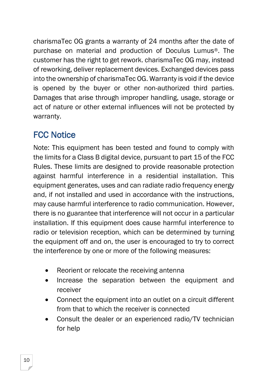charismaTec OG grants a warranty of 24 months after the date of purchase on material and production of Doculus Lumus®. The customer has the right to get rework. charismaTec OG may, instead of reworking, deliver replacement devices. Exchanged devices pass into the ownership of charismaTec OG. Warranty is void if the device is opened by the buyer or other non-authorized third parties. Damages that arise through improper handling, usage, storage or act of nature or other external influences will not be protected by warranty.

## <span id="page-9-0"></span>FCC Notice

Note: This equipment has been tested and found to comply with the limits for a Class B digital device, pursuant to part 15 of the FCC Rules. These limits are designed to provide reasonable protection against harmful interference in a residential installation. This equipment generates, uses and can radiate radio frequency energy and, if not installed and used in accordance with the instructions, may cause harmful interference to radio communication. However, there is no guarantee that interference will not occur in a particular installation. If this equipment does cause harmful interference to radio or television reception, which can be determined by turning the equipment off and on, the user is encouraged to try to correct the interference by one or more of the following measures:

- Reorient or relocate the receiving antenna
- Increase the separation between the equipment and receiver
- Connect the equipment into an outlet on a circuit different from that to which the receiver is connected
- Consult the dealer or an experienced radio/TV technician for help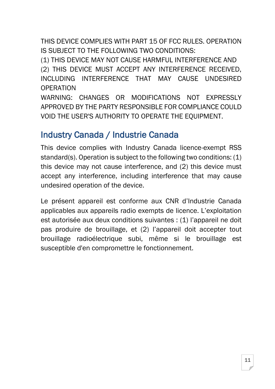THIS DEVICE COMPLIES WITH PART 15 OF FCC RULES. OPERATION IS SUBJECT TO THE FOLLOWING TWO CONDITIONS:

(1) THIS DEVICE MAY NOT CAUSE HARMFUL INTERFERENCE AND (2) THIS DEVICE MUST ACCEPT ANY INTERFERENCE RECEIVED, INCLUDING INTERFERENCE THAT MAY CAUSE UNDESIRED **OPERATION** 

WARNING: CHANGES OR MODIFICATIONS NOT EXPRESSLY APPROVED BY THE PARTY RESPONSIBLE FOR COMPLIANCE COULD VOID THE USER'S AUTHORITY TO OPERATE THE EQUIPMENT.

#### <span id="page-10-0"></span>Industry Canada / Industrie Canada

This device complies with Industry Canada licence-exempt RSS standard(s). Operation is subject to the following two conditions: (1) this device may not cause interference, and (2) this device must accept any interference, including interference that may cause undesired operation of the device.

Le présent appareil est conforme aux CNR d'Industrie Canada applicables aux appareils radio exempts de licence. L'exploitation est autorisée aux deux conditions suivantes : (1) l'appareil ne doit pas produire de brouillage, et (2) l'appareil doit accepter tout brouillage radioélectrique subi, même si le brouillage est susceptible d'en compromettre le fonctionnement.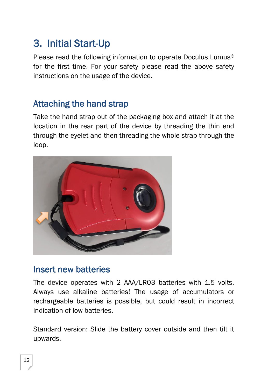## <span id="page-11-0"></span>3. Initial Start-Up

Please read the following information to operate Doculus Lumus® for the first time. For your safety please read the above safety instructions on the usage of the device.

### <span id="page-11-1"></span>Attaching the hand strap

Take the hand strap out of the packaging box and attach it at the location in the rear part of the device by threading the thin end through the eyelet and then threading the whole strap through the loop.



#### <span id="page-11-2"></span>Insert new batteries

The device operates with 2 AAA/LR03 batteries with 1.5 volts. Always use alkaline batteries! The usage of accumulators or rechargeable batteries is possible, but could result in incorrect indication of low batteries.

Standard version: Slide the battery cover outside and then tilt it upwards.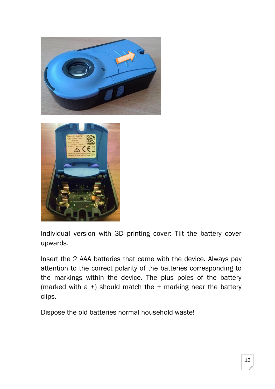



Individual version with 3D printing cover: Tilt the battery cover upwards.

Insert the 2 AAA batteries that came with the device. Always pay attention to the correct polarity of the batteries corresponding to the markings within the device. The plus poles of the battery (marked with a +) should match the + marking near the battery clips.

Dispose the old batteries normal household waste!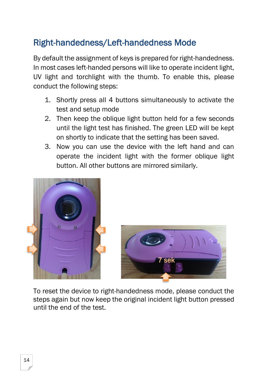## <span id="page-13-0"></span>Right-handedness/Left-handedness Mode

By default the assignment of keys is prepared for right-handedness. In most cases left-handed persons will like to operate incident light, UV light and torchlight with the thumb. To enable this, please conduct the following steps:

- 1. Shortly press all 4 buttons simultaneously to activate the test and setup mode
- 2. Then keep the oblique light button held for a few seconds until the light test has finished. The green LED will be kept on shortly to indicate that the setting has been saved.
- 3. Now you can use the device with the left hand and can operate the incident light with the former oblique light button. All other buttons are mirrored similarly.





To reset the device to right-handedness mode, please conduct the steps again but now keep the original incident light button pressed until the end of the test.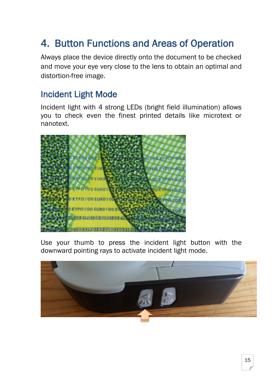## <span id="page-14-0"></span>4. Button Functions and Areas of Operation

Always place the device directly onto the document to be checked and move your eye very close to the lens to obtain an optimal and distortion-free image.

#### <span id="page-14-1"></span>Incident Light Mode

Incident light with 4 strong LEDs (bright field illumination) allows you to check even the finest printed details like microtext or nanotext.



Use your thumb to press the incident light button with the downward pointing rays to activate incident light mode.

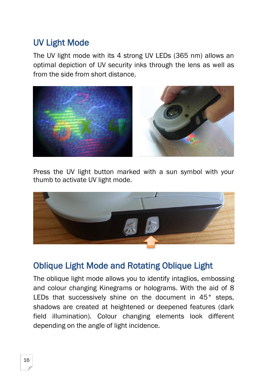### <span id="page-15-0"></span>UV Light Mode

The UV light mode with its 4 strong UV LEDs (365 nm) allows an optimal depiction of UV security inks through the lens as well as from the side from short distance.



Press the UV light button marked with a sun symbol with your thumb to activate UV light mode.



### <span id="page-15-1"></span>Oblique Light Mode and Rotating Oblique Light

The oblique light mode allows you to identify intaglios, embossing and colour changing Kinegrams or holograms. With the aid of 8 LEDs that successively shine on the document in 45° steps, shadows are created at heightened or deepened features (dark field illumination). Colour changing elements look different depending on the angle of light incidence.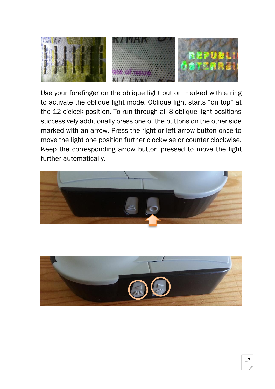

Use your forefinger on the oblique light button marked with a ring to activate the oblique light mode. Oblique light starts "on top" at the 12 o'clock position. To run through all 8 oblique light positions successively additionally press one of the buttons on the other side marked with an arrow. Press the right or left arrow button once to move the light one position further clockwise or counter clockwise. Keep the corresponding arrow button pressed to move the light further automatically.



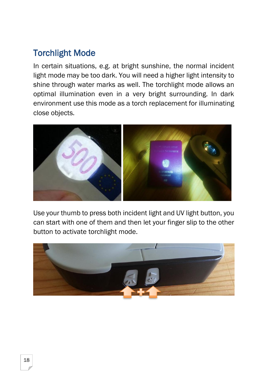### <span id="page-17-0"></span>Torchlight Mode

In certain situations, e.g. at bright sunshine, the normal incident light mode may be too dark. You will need a higher light intensity to shine through water marks as well. The torchlight mode allows an optimal illumination even in a very bright surrounding. In dark environment use this mode as a torch replacement for illuminating close objects.



Use your thumb to press both incident light and UV light button, you can start with one of them and then let your finger slip to the other button to activate torchlight mode.

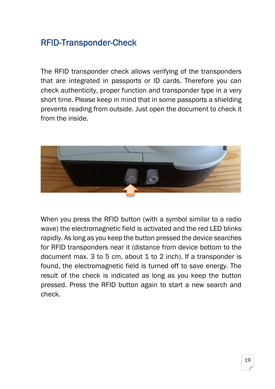## <span id="page-18-0"></span>RFID-Transponder-Check

The RFID transponder check allows verifying of the transponders that are integrated in passports or ID cards. Therefore you can check authenticity, proper function and transponder type in a very short time. Please keep in mind that in some passports a shielding prevents reading from outside. Just open the document to check it from the inside.



When you press the RFID button (with a symbol similar to a radio wave) the electromagnetic field is activated and the red LED blinks rapidly. As long as you keep the button pressed the device searches for RFID transponders near it (distance from device bottom to the document max. 3 to 5 cm, about 1 to 2 inch). If a transponder is found, the electromagnetic field is turned off to save energy. The result of the check is indicated as long as you keep the button pressed. Press the RFID button again to start a new search and check.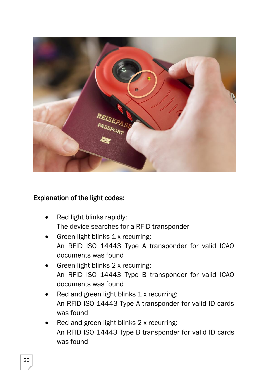

#### Explanation of the light codes:

- Red light blinks rapidly: The device searches for a RFID transponder
- Green light blinks 1 x recurring: An RFID ISO 14443 Type A transponder for valid ICAO documents was found
- Green light blinks 2 x recurring: An RFID ISO 14443 Type B transponder for valid ICAO documents was found
- Red and green light blinks 1 x recurring: An RFID ISO 14443 Type A transponder for valid ID cards was found
- Red and green light blinks 2 x recurring: An RFID ISO 14443 Type B transponder for valid ID cards was found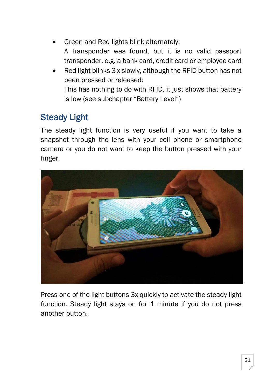- Green and Red lights blink alternately: A transponder was found, but it is no valid passport transponder, e.g. a bank card, credit card or employee card
- Red light blinks 3 x slowly, although the RFID button has not been pressed or released: This has nothing to do with RFID, it just shows that battery is low (see subchapter "Battery Level")

### <span id="page-20-0"></span>Steady Light

The steady light function is very useful if you want to take a snapshot through the lens with your cell phone or smartphone camera or you do not want to keep the button pressed with your finger.



Press one of the light buttons 3x quickly to activate the steady light function. Steady light stays on for 1 minute if you do not press another button.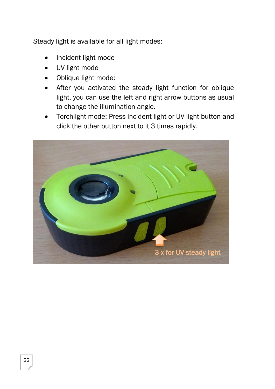Steady light is available for all light modes:

- Incident light mode
- UV light mode
- Oblique light mode:
- After you activated the steady light function for oblique light, you can use the left and right arrow buttons as usual to change the illumination angle.
- Torchlight mode: Press incident light or UV light button and click the other button next to it 3 times rapidly.